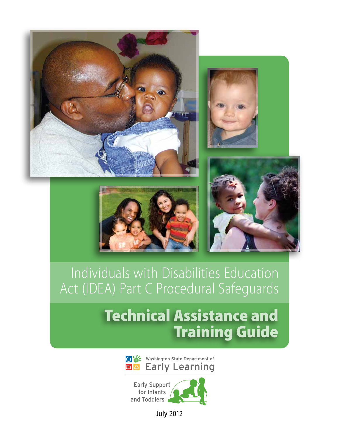







# Individuals with Disabilities Education Act (IDEA) Part C Procedural Safeguards

# Technical Assistance and Training Guide





July 2012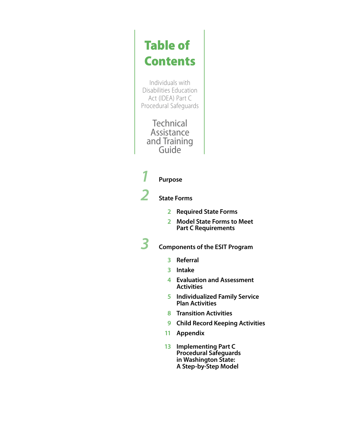# Table of **Contents**

Individuals with Disabilities Education Act (IDEA) Part C Procedural Safeguards

**Technical** Assistance and Training Guide

# *1* **Purpose**

*2* **State Forms**

- **2 Required State Forms**
- **2 Model State Forms to Meet Part C Requirements**

*3* **Components of the ESIT Program**

- **3 Referral**
- **3 Intake**
- **4 Evaluation and Assessment Activities**
- **5 Individualized Family Service Plan Activities**
- **8 Transition Activities**
- **9 Child Record Keeping Activities**
- **11 Appendix**
- **13 Implementing Part C**<br>**Procedural Safeguards**<br>in Washington State:<br>A Step-by-Step Model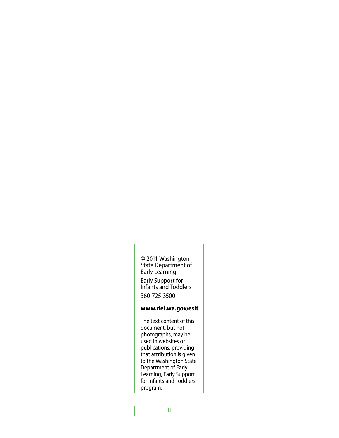**©** 2011 Washington State Department of Early Learning Early Support for Infants and Toddlers 360-725-3500

### **www.del.wa.gov/esit**

The text content of this document, but not photographs, may be used in websites or publications, providing that attribution is given to the Washington State Department of Early Learning, Early Support for Infants and Toddlers program.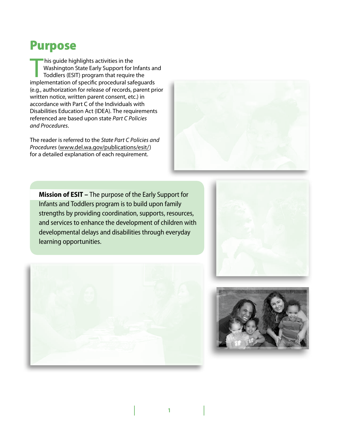# Purpose

This guide highlights activities in the<br>Washington State Early Support for I<br>Toddlers (ESIT) program that require<br>implementation of specific procedural safe Washington State Early Support for Infants and Toddlers (ESIT) program that require the implementation of specific procedural safeguards (e.g., authorization for release of records, parent prior written notice, written parent consent, etc.) in accordance with Part C of the Individuals with Disabilities Education Act (IDEA). The requirements referenced are based upon state *Part C Policies and Procedures*.

The reader is referred to the *State Part C Policies and Procedures* (www.del.wa.gov/publications/esit/) for a detailed explanation of each requirement.



**Mission of ESIT –** The purpose of the Early Support for Infants and Toddlers program is to build upon family strengths by providing coordination, supports, resources, and services to enhance the development of children with developmental delays and disabilities through everyday learning opportunities.





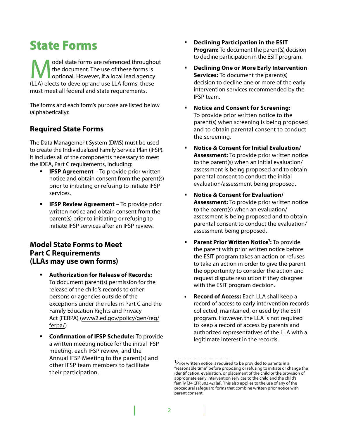# State Forms

odel state forms are referenced throughout the document. The use of these forms is optional. However, if a local lead agency (LLA) elects to develop and use LLA forms, these must meet all federal and state requirements.

The forms and each form's purpose are listed below (alphabetically):

# **Required State Forms**

The Data Management System (DMS) must be used to create the Individualized Family Service Plan (IFSP). It includes all of the components necessary to meet the IDEA, Part C requirements, including:

- **IFSP Agreement** To provide prior written notice and obtain consent from the parent(s) prior to initiating or refusing to initiate IFSP services.
- **IFSP Review Agreement** To provide prior written notice and obtain consent from the parent(s) prior to initiating or refusing to initiate IFSP services after an IFSP review.

# **Model State Forms to Meet Part C Requirements (LLAs may use own forms)**

- **Authorization for Release of Records:** To document parent(s) permission for the release of the child's records to other persons or agencies outside of the exceptions under the rules in Part C and the Family Education Rights and Privacy Act (FERPA) (www2.ed.gov/policy/gen/reg/ ferpa/)
- **Confirmation of IFSP Schedule:** To provide a written meeting notice for the initial IFSP meeting, each IFSP review, and the Annual IFSP Meeting to the parent(s) and other IFSP team members to facilitate their participation.
- **Declining Participation in the ESIT Program:** To document the parent(s) decision to decline participation in the ESIT program.
- **Declining One or More Early Intervention Services:** To document the parent(s) decision to decline one or more of the early intervention services recommended by the IFSP team.
- **Notice and Consent for Screening:** To provide prior written notice to the parent(s) when screening is being proposed and to obtain parental consent to conduct the screening.
- **Notice & Consent for Initial Evaluation/ Assessment:** To provide prior written notice to the parent(s) when an initial evaluation/ assessment is being proposed and to obtain parental consent to conduct the initial evaluation/assessment being proposed.
- **Notice & Consent for Evaluation/ Assessment:** To provide prior written notice to the parent(s) when an evaluation/ assessment is being proposed and to obtain parental consent to conduct the evaluation/ assessment being proposed.
- **Parent Prior Written Notice':** To provide the parent with prior written notice before the ESIT program takes an action or refuses to take an action in order to give the parent the opportunity to consider the action and request dispute resolution if they disagree with the ESIT program decision.
- **Record of Access:** Each LLA shall keep a record of access to early intervention records collected, maintained, or used by the ESIT program. However, the LLA is not required to keep a record of access by parents and authorized representatives of the LLA with a legitimate interest in the records.

\_\_\_\_\_\_\_\_\_\_\_\_\_\_\_\_\_\_\_\_\_\_\_\_\_\_\_\_

<sup>&</sup>lt;sup>1</sup>Prior written notice is required to be provided to parents in a "reasonable time" before proposing or refusing to initiate or change the identification, evaluation, or placement of the child or the provision of appropriate early intervention services to the child and the child's family [34 CFR 303.421{a)]. This also applies to the use of any of the procedural safeguard forms that combine written prior notice with parent consent.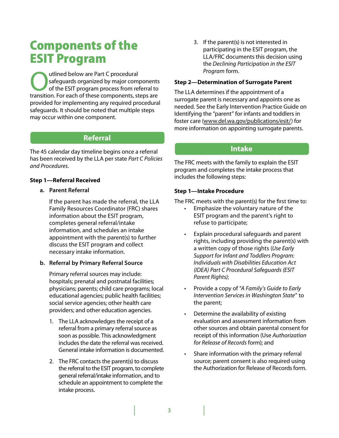# Components of the ESIT Program

utlined below are Part C procedural<br>
safeguards organized by major com<br>
of the ESIT program process from re safeguards organized by major components of the ESIT program process from referral to transition. For each of these components, steps are provided for implementing any required procedural safeguards. It should be noted that multiple steps may occur within one component.

# **Referral**

The 45 calendar day timeline begins once a referral has been received by the LLA per state *Part C Policies and Procedures*.

# **Step 1—Referral Received**

# **a. Parent Referral**

If the parent has made the referral, the LLA Family Resources Coordinator (FRC) shares information about the ESIT program, completes general referral/intake information, and schedules an intake appointment with the parent(s) to further discuss the ESIT program and collect necessary intake information.

# **b. Referral by Primary Referral Source**

Primary referral sources may include: hospitals; prenatal and postnatal facilities; physicians; parents; child care programs; local educational agencies; public health facilities; social service agencies; other health care providers; and other education agencies.

- 1. The LLA acknowledges the receipt of a referral from a primary referral source as soon as possible. This acknowledgment includes the date the referral was received. General intake information is documented.
- 2. The FRC contacts the parent(s) to discuss the referral to the ESIT program, to complete general referral/intake information, and to schedule an appointment to complete the intake process.

3. If the parent(s) is not interested in participating in the ESIT program, the LLA/FRC documents this decision using the *Declining Participation in the ESIT Program* form.

### **Step 2—Determination of Surrogate Parent**

The LLA determines if the appointment of a surrogate parent is necessary and appoints one as needed. See the Early Intervention Practice Guide on Identifying the "parent" for infants and toddlers in foster care (www.del.wa.gov/publications/esit/) for more information on appointing surrogate parents.

# **Intake**

The FRC meets with the family to explain the ESIT program and completes the intake process that includes the following steps:

# **Step 1—Intake Procedure**

The FRC meets with the parent(s) for the first time to:

- Emphasize the voluntary nature of the ESIT program and the parent's right to refuse to participate;
- Explain procedural safeguards and parent rights, including providing the parent(s) with a written copy of those rights (*Use Early Support for Infant and Toddlers Program: Individuals with Disabilities Education Act (IDEA) Part C Procedural Safeguards (ESIT Parent Rights)*;
- Provide a copy of "A Family's Guide to Early *Intervention Services in Washington State*" to the parent;
- Determine the availability of existing evaluation and assessment information from other sources and obtain parental consent for receipt of this information (Use *Authorization for Release of Records* form); and
- Share information with the primary referral source; parent consent is also required using the Authorization for Release of Records form.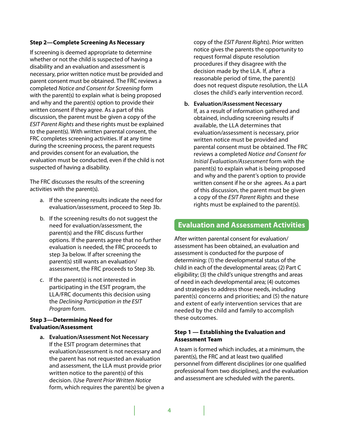### **Step 2—Complete Screening As Necessary**

If screening is deemed appropriate to determine whether or not the child is suspected of having a disability and an evaluation and assessment is necessary, prior written notice must be provided and parent consent must be obtained. The FRC reviews a completed *Notice and Consent for Screening* form with the parent(s) to explain what is being proposed and why and the parent(s) option to provide their written consent if they agree. As a part of this discussion, the parent must be given a copy of the *ESIT Parent Rights* and these rights must be explained to the parent(s). With written parental consent, the FRC completes screening activities. If at any time during the screening process, the parent requests and provides consent for an evaluation, the evaluation must be conducted, even if the child is not suspected of having a disability.

The FRC discusses the results of the screening activities with the parent(s).

- a. If the screening results indicate the need for evaluation/assessment, proceed to Step 3b.
- b. If the screening results do not suggest the need for evaluation/assessment, the parent(s) and the FRC discuss further options. If the parents agree that no further evaluation is needed, the FRC proceeds to step 3a below. If after screening the parent(s) still wants an evaluation/ assessment, the FRC proceeds to Step 3b.
- c. If the parent(s) is not interested in participating in the ESIT program, the LLA/FRC documents this decision using the *Declining Participation in the ESIT Program* form.

# **Step 3—Determining Need for Evaluation/Assessment**

**a. Evaluation/Assessment Not Necessary** If the ESIT program determines that evaluation/assessment is not necessary and the parent has not requested an evaluation and assessment, the LLA must provide prior written notice to the parent(s) of this decision. (Use *Parent Prior Written Notice* form, which requires the parent(s) be given a copy of the *ESIT Parent Rights*). Prior written notice gives the parents the opportunity to request formal dispute resolution procedures if they disagree with the decision made by the LLA. If, after a reasonable period of time, the parent(s) does not request dispute resolution, the LLA closes the child's early intervention record.

**b. Evaluation/Assessment Necessary** If, as a result of information gathered and obtained, including screening results if available, the LLA determines that evaluation/assessment is necessary, prior written notice must be provided and parental consent must be obtained. The FRC reviews a completed *Notice and Consent for Initial Evaluation/Assessment* form with the parent(s) to explain what is being proposed and why and the parent's option to provide written consent if he or she agrees. As a part of this discussion, the parent must be given a copy of the *ESIT Parent Rights* and these rights must be explained to the parent(s).

# **Evaluation and Assessment Activities**

After written parental consent for evaluation/ assessment has been obtained, an evaluation and assessment is conducted for the purpose of determining: (1) the developmental status of the child in each of the developmental areas; (2) Part C eligibility; (3) the child's unique strengths and areas of need in each developmental area; (4) outcomes and strategies to address those needs, including parent(s) concerns and priorities; and (5) the nature and extent of early intervention services that are needed by the child and family to accomplish these outcomes.

# **Step 1 — Establishing the Evaluation and Assessment Team**

A team is formed which includes, at a minimum, the parent(s), the FRC and at least two qualified personnel from different disciplines (or one qualified professional from two disciplines), and the evaluation and assessment are scheduled with the parents.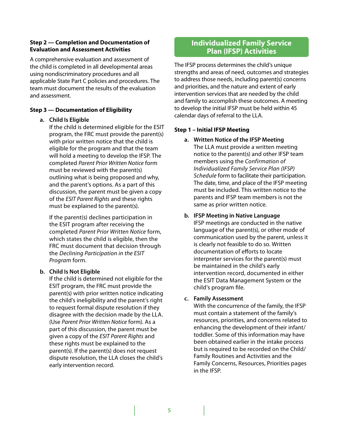# **Step 2 — Completion and Documentation of Evaluation and Assessment Activities**

A comprehensive evaluation and assessment of the child is completed in all developmental areas using nondiscriminatory procedures and all applicable State Part C policies and procedures. The team must document the results of the evaluation and assessment.

# **Step 3 — Documentation of Eligibility**

# **a. Child Is Eligible**

If the child is determined eligible for the ESIT program, the FRC must provide the parent(s) with prior written notice that the child is eligible for the program and that the team will hold a meeting to develop the IFSP. The completed *Parent Prior Written Notice* form must be reviewed with the parent(s) outlining what is being proposed and why, and the parent's options. As a part of this discussion, the parent must be given a copy of the *ESIT Parent Rights* and these rights must be explained to the parent(s).

If the parent(s) declines participation in the ESIT program after receiving the completed *Parent Prior Written Notice* form, which states the child is eligible, then the FRC must document that decision through the *Declining Participation in the ESIT Program* form.

# **b. Child Is Not Eligible**

If the child is determined not eligible for the ESIT program, the FRC must provide the parent(s) with prior written notice indicating the child's ineligibility and the parent's right to request formal dispute resolution if they disagree with the decision made by the LLA. (Use *Parent Prior Written Notice* form). As a part of this discussion, the parent must be given a copy of the *ESIT Parent Rights* and these rights must be explained to the parent(s). If the parent(s) does not request dispute resolution, the LLA closes the child's early intervention record.

# **Individualized Family Service Plan (IFSP) Activities**

The IFSP process determines the child's unique strengths and areas of need, outcomes and strategies to address those needs, including parent(s) concerns and priorities, and the nature and extent of early intervention services that are needed by the child and family to accomplish these outcomes. A meeting to develop the initial IFSP must be held within 45 calendar days of referral to the LLA.

# **Step 1 – Initial IFSP Meeting**

**a. Written Notice of the IFSP Meeting**  The LLA must provide a written meeting notice to the parent(s) and other IFSP team members using the *Confirmation of Individualized Family Service Plan (IFSP) Schedule* form to facilitate their participation. The date, time, and place of the IFSP meeting must be included. This written notice to the parents and IFSP team members is not the same as prior written notice.

# **b. IFSP Meeting in Native Language**

IFSP meetings are conducted in the native language of the parent(s), or other mode of communication used by the parent, unless it is clearly not feasible to do so. Written documentation of efforts to locate interpreter services for the parent(s) must be maintained in the child's early intervention record, documented in either the ESIT Data Management System or the child's program file.

# **c. Family Assessment**

With the concurrence of the family, the IFSP must contain a statement of the family's resources, priorities, and concerns related to enhancing the development of their infant/ toddler. Some of this information may have been obtained earlier in the intake process but is required to be recorded on the Child/ Family Routines and Activities and the Family Concerns, Resources, Priorities pages in the IFSP.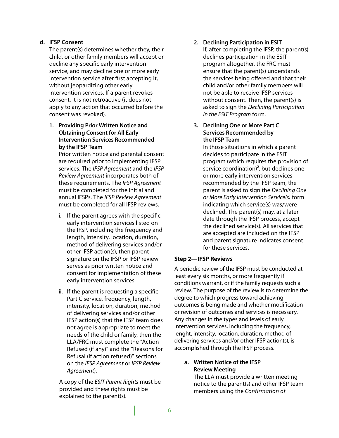# **d. IFSP Consent**

The parent(s) determines whether they, their child, or other family members will accept or decline any specific early intervention service, and may decline one or more early intervention service after first accepting it, without jeopardizing other early intervention services. If a parent revokes consent, it is not retroactive (it does not apply to any action that occurred before the consent was revoked).

**1. Providing Prior Written Notice and Obtaining Consent for All Early Intervention Services Recommended by the IFSP Team**

 Prior written notice and parental consent are required prior to implementing IFSP services. The *IFSP Agreement* and the *IFSP Review Agreement* incorporates both of these requirements. The *IFSP Agreement* must be completed for the initial and annual IFSPs. The *IFSP Review Agreement* must be completed for all IFSP reviews.

- i. If the parent agrees with the specific early intervention services listed on the IFSP, including the frequency and length, intensity, location, duration, method of delivering services and/or other IFSP action(s), then parent signature on the IFSP or IFSP review serves as prior written notice and consent for implementation of these early intervention services.
- ii. If the parent is requesting a specific Part C service, frequency, length, intensity, location, duration, method of delivering services and/or other IFSP action(s) that the IFSP team does not agree is appropriate to meet the needs of the child or family, then the LLA/FRC must complete the "Action Refused (if any)" and the "Reasons for Refusal (if action refused)" sections on the *IFSP Agreement* or *IFSP Review Agreement*).

 A copy of the *ESIT Parent Rights* must be provided and these rights must be explained to the parent(s).

# **2. Declining Participation in ESIT**

 If, after completing the IFSP, the parent(s) declines participation in the ESIT program altogether, the FRC must ensure that the parent(s) understands the services being offered and that their child and/or other family members will not be able to receive IFSP services without consent. Then, the parent(s) is asked to sign the *Declining Participation in the ESIT Program* form.

# **3. Declining One or More Part C Services Recommended by the IFSP Team**

 In those situations in which a parent decides to participate in the ESIT program (which requires the provision of service coordination)<sup>2</sup>, but declines one or more early intervention services recommended by the IFSP team, the parent is asked to sign the *Declining One or More Early Intervention Service(s)* form indicating which service(s) was/were declined. The parent(s) may, at a later date through the IFSP process, accept the declined service(s). All services that are accepted are included on the IFSP and parent signature indicates consent for these services.

# **Step 2—IFSP Reviews**

A periodic review of the IFSP must be conducted at least every six months, or more frequently if conditions warrant, or if the family requests such a review. The purpose of the review is to determine the degree to which progress toward achieving outcomes is being made and whether modification or revision of outcomes and services is necessary. Any changes in the types and levels of early intervention services, including the frequency, lenght, intensity, location, duration, method of delivering services and/or other IFSP action(s), is accomplished through the IFSP process.

# **a. Written Notice of the IFSP Review Meeting**

The LLA must provide a written meeting notice to the parent(s) and other IFSP team members using the *Confirmation of*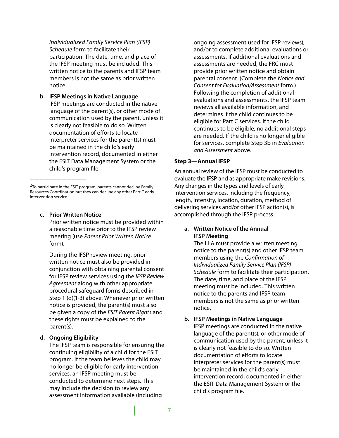*Individualized Family Service Plan (IFSP) Schedule* form to facilitate their participation. The date, time, and place of the IFSP meeting must be included. This written notice to the parents and IFSP team members is not the same as prior written notice.

**b. IFSP Meetings in Native Language** IFSP meetings are conducted in the native language of the parent(s), or other mode of communication used by the parent, unless it is clearly not feasible to do so. Written documentation of efforts to locate interpreter services for the parent(s) must be maintained in the child's early intervention record, documented in either the ESIT Data Management System or the child's program file.

**c. Prior Written Notice**

\_\_\_\_\_\_\_\_\_\_\_\_\_\_\_\_\_\_\_\_\_\_\_

Prior written notice must be provided within a reasonable time prior to the IFSP review meeting (use *Parent Prior Written Notice* form).

During the IFSP review meeting, prior written notice must also be provided in conjunction with obtaining parental consent for IFSP review services using the *IFSP Review Agreement* along with other appropriate procedural safeguard forms described in Step 1 (d)(1-3) above. Whenever prior written notice is provided, the parent(s) must also be given a copy of the *ESIT Parent Rights* and these rights must be explained to the parent(s).

#### **d. Ongoing Eligibility**

The IFSP team is responsible for ensuring the continuing eligibility of a child for the ESIT program. If the team believes the child may no longer be eligible for early intervention services, an IFSP meeting must be conducted to determine next steps. This may include the decision to review any assessment information available (including

ongoing assessment used for IFSP reviews), and/or to complete additional evaluations or assessments. If additional evaluations and assessments are needed, the FRC must provide prior written notice and obtain parental consent. (Complete the *Notice and Consent for Evaluation/Assessment* form.) Following the completion of additional evaluations and assessments, the IFSP team reviews all available information, and determines if the child continues to be eligible for Part C services. If the child continues to be eligible, no additional steps are needed. If the child is no longer eligible for services, complete Step 3b in *Evaluation and Assessment* above.

#### **Step 3—Annual IFSP**

An annual review of the IFSP must be conducted to evaluate the IFSP and as appropriate make revisions. Any changes in the types and levels of early intervention services, including the frequency, length, intensity, location, duration, method of delivering services and/or other IFSP action(s), is accomplished through the IFSP process.

### **a. Written Notice of the Annual IFSP Meeting**

The LLA must provide a written meeting notice to the parent(s) and other IFSP team members using the *Confirmation of Individualized Family Service Plan (IFSP) Schedule* form to facilitate their participation. The date, time, and place of the IFSP meeting must be included. This written notice to the parents and IFSP team members is not the same as prior written notice.

### **b. IFSP Meetings in Native Language** IFSP meetings are conducted in the native

language of the parent(s), or other mode of communication used by the parent, unless it is clearly not feasible to do so. Written documentation of efforts to locate interpreter services for the parent(s) must be maintained in the child's early intervention record, documented in either the ESIT Data Management System or the child's program file.

<sup>&</sup>lt;sup>2</sup>To participate in the ESIT program, parents cannot decline Family Resources Coordination but they can decline any other Part C early intervention service.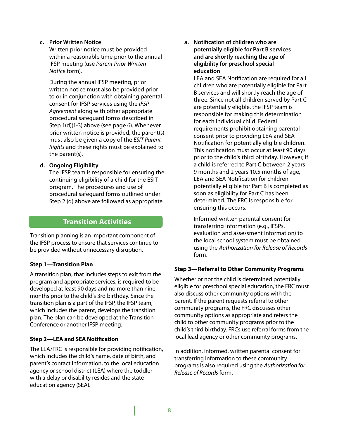# **c. Prior Written Notice**

Written prior notice must be provided within a reasonable time prior to the annual IFSP meeting (use *Parent Prior Written Notice* form).

During the annual IFSP meeting, prior written notice must also be provided prior to or in conjunction with obtaining parental consent for IFSP services using the *IFSP Agreement* along with other appropriate procedural safeguard forms described in Step 1(d)(1-3) above (see page 6). Whenever prior written notice is provided, the parent(s) must also be given a copy of the *ESIT Parent Rights* and these rights must be explained to the parent(s).

# **d. Ongoing Eligibility**

The IFSP team is responsible for ensuring the continuing eligibility of a child for the ESIT program. The procedures and use of procedural safeguard forms outlined under Step 2 (d) above are followed as appropriate.

# **Transition Activities**

Transition planning is an important component of the IFSP process to ensure that services continue to be provided without unnecessary disruption.

# **Step 1—Transition Plan**

A transition plan, that includes steps to exit from the program and appropriate services, is required to be developed at least 90 days and no more than nine months prior to the child's 3rd birthday. Since the transition plan is a part of the IFSP, the IFSP team, which includes the parent, develops the transition plan. The plan can be developed at the Transition Conference or another IFSP meeting.

# **Step 2—LEA and SEA Notification**

The LLA/FRC is responsible for providing notification, which includes the child's name, date of birth, and parent's contact information, to the local education agency or school district (LEA) where the toddler with a delay or disability resides and the state education agency (SEA).

**a. Notification of children who are potentially eligible for Part B services and are shortly reaching the age of eligibility for preschool special education**

LEA and SEA Notification are required for all children who are potentially eligible for Part B services and will shortly reach the age of three. Since not all children served by Part C are potentially eligble, the IFSP team is responsible for making this determination for each individual child. Federal requirements prohibit obtaining parental consent prior to providing LEA and SEA Notification for potentially eligible children. This notification must occur at least 90 days prior to the child's third birthday. However, if a child is referred to Part C between 2 years 9 months and 2 years 10.5 months of age, LEA and SEA Notification for children potentially eligible for Part B is completed as soon as eligibility for Part C has been determined. The FRC is responsible for ensuring this occurs.

Informed written parental consent for transferring information (e.g., IFSPs, evaluation and assessment information) to the local school system must be obtained using the *Authorization for Release of Records* form.

# **Step 3—Referral to Other Community Programs**

Whether or not the child is determined potentially eligible for preschool special education, the FRC must also discuss other community options with the parent. If the parent requests referral to other community programs, the FRC discusses other community options as appropriate and refers the child to other community programs prior to the child's third birthday. FRCs use referral forms from the local lead agency or other community programs.

In addition, informed, written parental consent for transferring information to these community programs is also required using the *Authorization for Release of Records* form.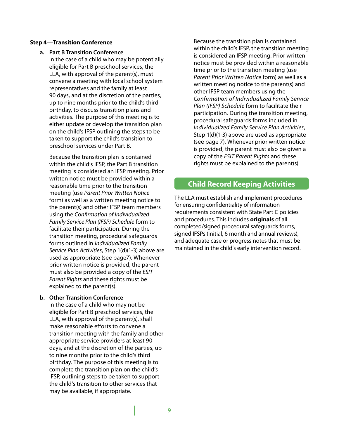#### **Step 4—Transition Conference**

- **a. Part B Transition Conference** 
	- In the case of a child who may be potentially eligible for Part B preschool services, the LLA, with approval of the parent(s), must convene a meeting with local school system representatives and the family at least 90 days, and at the discretion of the parties, up to nine months prior to the child's third birthday, to discuss transition plans and activities. The purpose of this meeting is to either update or develop the transition plan on the child's IFSP outlining the steps to be taken to support the child's transition to preschool services under Part B.

Because the transition plan is contained within the child's IFSP, the Part B transition meeting is considered an IFSP meeting. Prior written notice must be provided within a reasonable time prior to the transition meeting (use *Parent Prior Written Notice* form) as well as a written meeting notice to the parent(s) and other IFSP team members using the *Confirmation of Individualized Family Service Plan (IFSP) Schedule* form to facilitate their participation. During the transition meeting, procedural safeguards forms outlined in *Individualized Family Service Plan Activities*, Step 1(d)(1-3) above are used as appropriate (see page7). Whenever prior written notice is provided, the parent must also be provided a copy of the *ESIT Parent Rights* and these rights must be explained to the parent(s).

#### **b. Other Transition Conference**

In the case of a child who may not be eligible for Part B preschool services, the LLA, with approval of the parent(s), shall make reasonable efforts to convene a transition meeting with the family and other appropriate service providers at least 90 days, and at the discretion of the parties, up to nine months prior to the child's third birthday. The purpose of this meeting is to complete the transition plan on the child's IFSP, outlining steps to be taken to support the child's transition to other services that may be available, if appropriate.

Because the transition plan is contained within the child's IFSP, the transition meeting is considered an IFSP meeting. Prior written notice must be provided within a reasonable time prior to the transition meeting (use *Parent Prior Written Notice* form) as well as a written meeting notice to the parent(s) and other IFSP team members using the *Confirmation of Individualized Family Service Plan (IFSP) Schedule* form to facilitate their participation. During the transition meeting, procedural safeguards forms included in *Individualized Family Service Plan Activities*, Step 1(d)(1-3) above are used as appropriate (see page 7). Whenever prior written notice is provided, the parent must also be given a copy of the *ESIT Parent Rights* and these rights must be explained to the parent(s).

# **Child Record Keeping Activities**

The LLA must establish and implement procedures for ensuring confidentiality of information requirements consistent with State Part C policies and procedures. This includes **originals** of all completed/signed procedural safeguards forms, signed IFSPs (initial, 6 month and annual reviews), and adequate case or progress notes that must be maintained in the child's early intervention record.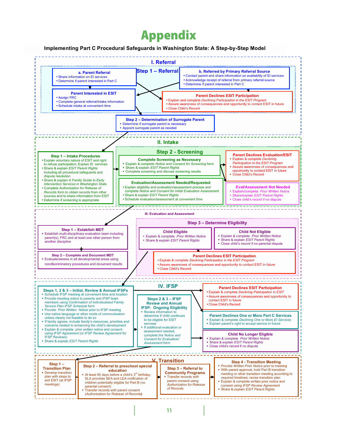# Appendix

#### **Implementing Part C Procedural Safeguards in Washington State: A Step-by-Step Model**